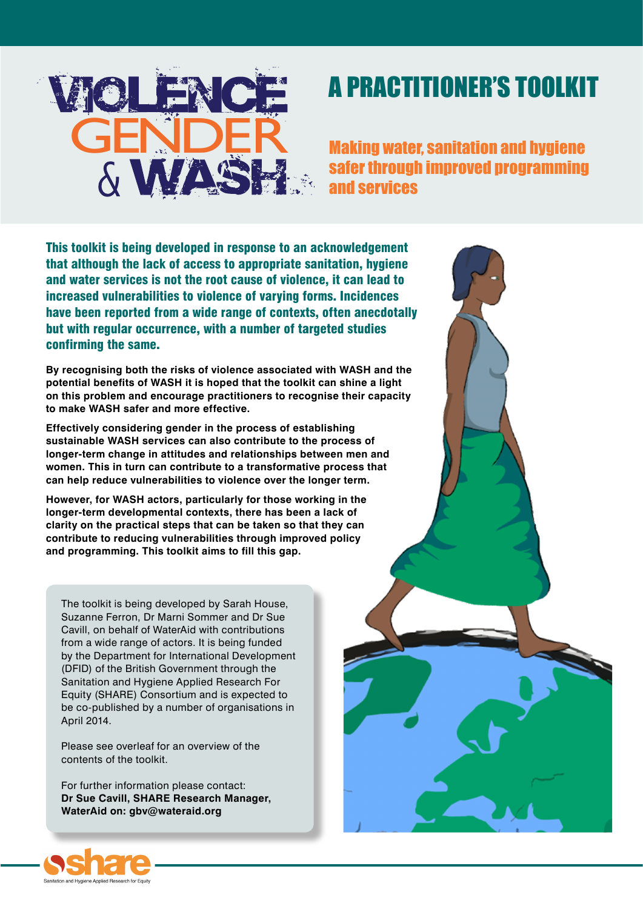

# A PRACTITIONER'S TOOLKIT

Making water, sanitation and hygiene safer through improved programming and services

This toolkit is being developed in response to an acknowledgement that although the lack of access to appropriate sanitation, hygiene and water services is not the root cause of violence, it can lead to increased vulnerabilities to violence of varying forms. Incidences have been reported from a wide range of contexts, often anecdotally but with regular occurrence, with a number of targeted studies confirming the same.

**By recognising both the risks of violence associated with WASH and the potential benefits of WASH it is hoped that the toolkit can shine a light on this problem and encourage practitioners to recognise their capacity to make WASH safer and more effective.**

**Effectively considering gender in the process of establishing sustainable WASH services can also contribute to the process of longer-term change in attitudes and relationships between men and women. This in turn can contribute to a transformative process that can help reduce vulnerabilities to violence over the longer term.**

**However, for WASH actors, particularly for those working in the longer-term developmental contexts, there has been a lack of clarity on the practical steps that can be taken so that they can contribute to reducing vulnerabilities through improved policy and programming. This toolkit aims to fill this gap.**

The toolkit is being developed by Sarah House, Suzanne Ferron, Dr Marni Sommer and Dr Sue Cavill, on behalf of WaterAid with contributions from a wide range of actors. It is being funded by the Department for International Development (DFID) of the British Government through the Sanitation and Hygiene Applied Research For Equity (SHARE) Consortium and is expected to be co-published by a number of organisations in April 2014.

Please see overleaf for an overview of the contents of the toolkit.

For further information please contact: **Dr Sue Cavill, SHARE Research Manager, WaterAid on: gbv@wateraid.org**